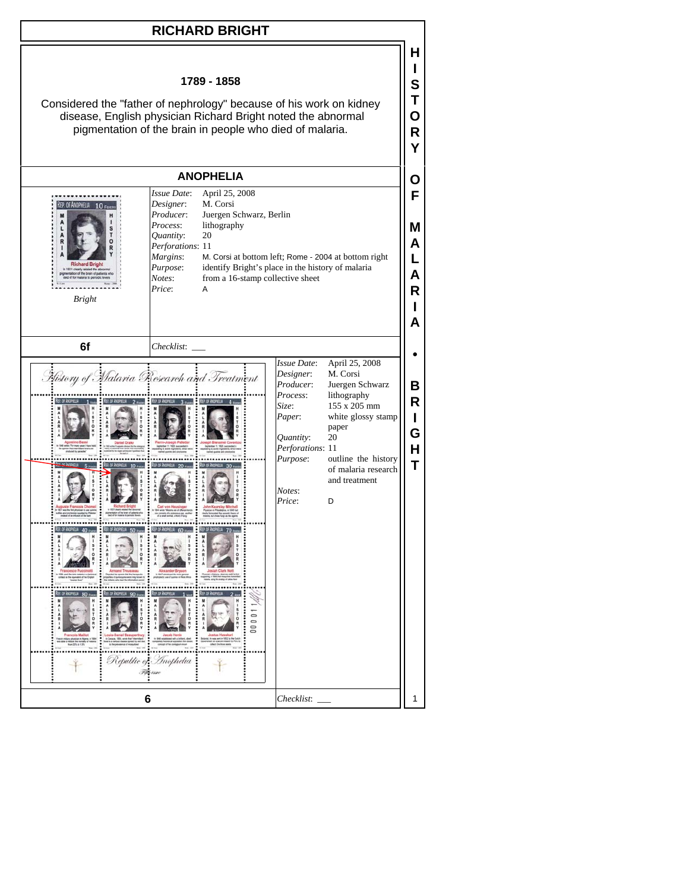